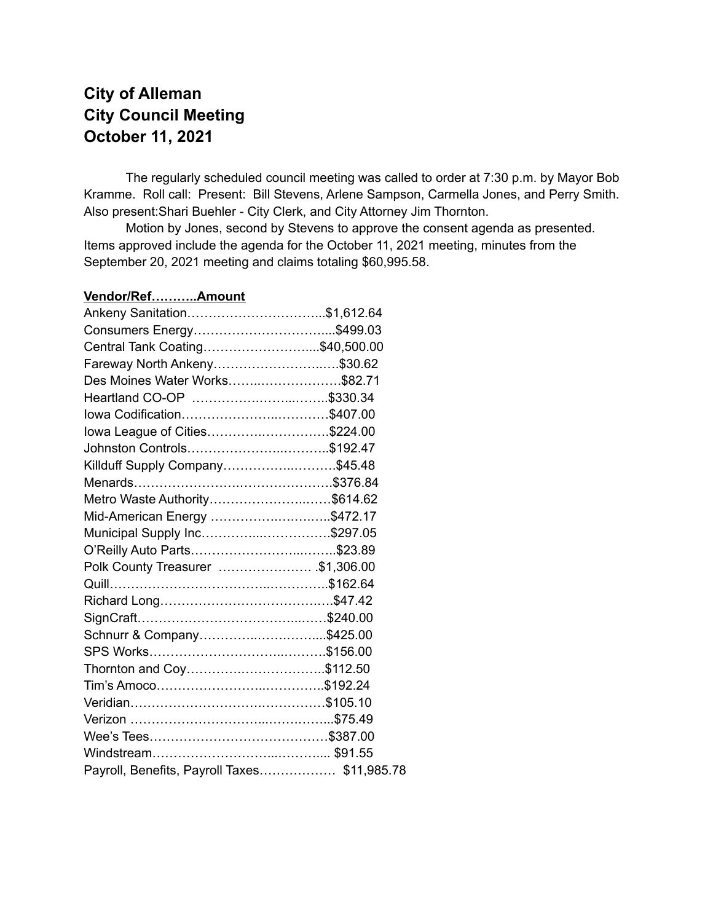# **City of Alleman City Council Meeting October 11, 2021**

The regularly scheduled council meeting was called to order at 7:30 p.m. by Mayor Bob Kramme. Roll call: Present: Bill Stevens, Arlene Sampson, Carmella Jones, and Perry Smith. Also present:Shari Buehler - City Clerk, and City Attorney Jim Thornton.

Motion by Jones, second by Stevens to approve the consent agenda as presented. Items approved include the agenda for the October 11, 2021 meeting, minutes from the September 20, 2021 meeting and claims totaling \$60,995.58.

### **Vendor/Ref………..Amount** Ankeny Sanitation…………………………...\$1,612.64 Consumers Energy…………………………....\$499.03 Central Tank Coating……………………....\$40,500.00 Fareway North Ankeny……………………..….\$30.62 Des Moines Water Works……..……………….\$82.71 Heartland CO-OP …………….……...……..\$330.34 Iowa Codification…………………..…………\$407.00 Iowa League of Cities………….…………….\$224.00 Johnston Controls…………………..………..\$192.47 Killduff Supply Company……………..……….\$45.48 Menards…………………….………………….\$376.84 Metro Waste Authority…………………..……\$614.62 Mid-American Energy …………….….….…..\$472.17 Municipal Supply Inc…………...…………….\$297.05 O'Reilly Auto Parts……………………...……..\$23.89 Polk County Treasurer …………………. .\$1,306.00 Quill………………………………..…………..\$162.64 Richard Long……………………………….….\$47.42 SignCraft………………………………...……\$240.00 Schnurr & Company…………..…….……....\$425.00 SPS Works…………………………..……….\$156.00 Thornton and Coy………….………………..\$112.50 Tim's Amoco……………………..…………..\$192.24 Veridian………………………….……………\$105.10 Verizon …………………………...…….……...\$75.49 Wee's Tees……………………………………\$387.00 Windstream………………………...……….... \$91.55 Payroll, Benefits, Payroll Taxes……………… \$11,985.78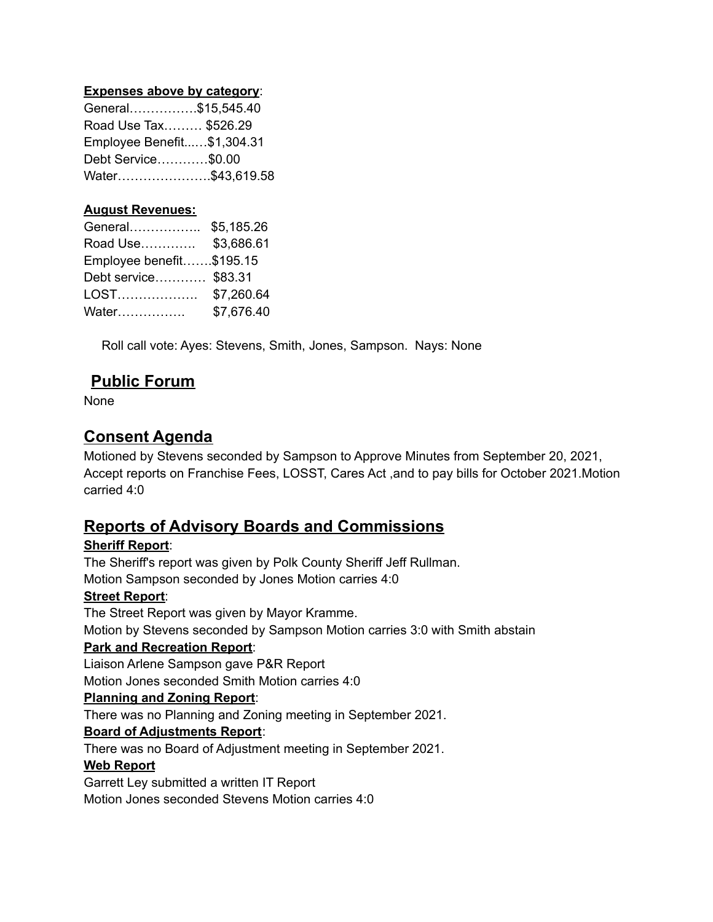#### **Expenses above by category**:

| General\$15,545.40         |
|----------------------------|
| Road Use Tax \$526.29      |
| Employee Benefit\$1,304.31 |
| Debt Service\$0.00         |
| Water\$43,619.58           |
|                            |

#### **August Revenues:**

| \$5,185.26               |
|--------------------------|
| \$3,686.61               |
| Employee benefit\$195.15 |
| Debt service \$83.31     |
| \$7,260.64               |
| \$7,676.40               |
|                          |

Roll call vote: Ayes: Stevens, Smith, Jones, Sampson. Nays: None

### **Public Forum**

None

### **Consent Agenda**

Motioned by Stevens seconded by Sampson to Approve Minutes from September 20, 2021, Accept reports on Franchise Fees, LOSST, Cares Act ,and to pay bills for October 2021.Motion carried 4:0

# **Reports of Advisory Boards and Commissions**

### **Sheriff Report**:

The Sheriff's report was given by Polk County Sheriff Jeff Rullman. Motion Sampson seconded by Jones Motion carries 4:0 **Street Report**: The Street Report was given by Mayor Kramme. Motion by Stevens seconded by Sampson Motion carries 3:0 with Smith abstain **Park and Recreation Report**: Liaison Arlene Sampson gave P&R Report Motion Jones seconded Smith Motion carries 4:0 **Planning and Zoning Report**: There was no Planning and Zoning meeting in September 2021. **Board of Adjustments Report**: There was no Board of Adjustment meeting in September 2021. **Web Report** Garrett Ley submitted a written IT Report Motion Jones seconded Stevens Motion carries 4:0